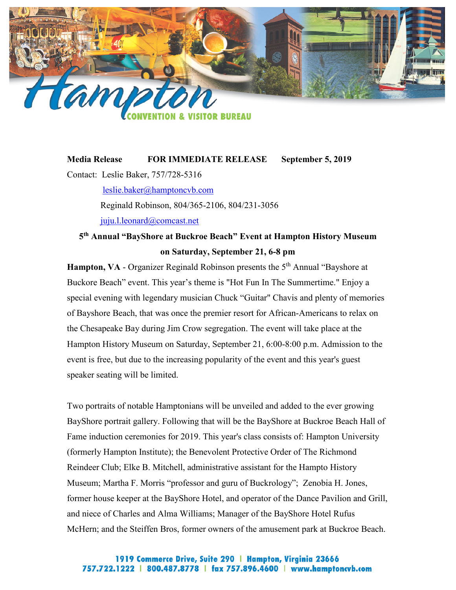

## **Media Release FOR IMMEDIATE RELEASE September 5, 2019**

Contact: Leslie Baker, 757/728-5316

[leslie.baker@hamptoncvb.com](mailto:leslie.baker@hamptoncvb.com)

Reginald Robinson, 804/365-2106, 804/231-3056

[juju.l.leonard@comcast.net](mailto:juju.l.leonard@comcast.net)

## **5th Annual "BayShore at Buckroe Beach" Event at Hampton History Museum on Saturday, September 21, 6-8 pm**

Hampton, VA - Organizer Reginald Robinson presents the 5<sup>th</sup> Annual "Bayshore at Buckore Beach" event. This year's theme is "Hot Fun In The Summertime." Enjoy a special evening with legendary musician Chuck "Guitar" Chavis and plenty of memories of Bayshore Beach, that was once the premier resort for African-Americans to relax on the Chesapeake Bay during Jim Crow segregation. The event will take place at the Hampton History Museum on Saturday, September 21, 6:00-8:00 p.m. Admission to the event is free, but due to the increasing popularity of the event and this year's guest speaker seating will be limited.

Two portraits of notable Hamptonians will be unveiled and added to the ever growing BayShore portrait gallery. Following that will be the BayShore at Buckroe Beach Hall of Fame induction ceremonies for 2019. This year's class consists of: Hampton University (formerly Hampton Institute); the Benevolent Protective Order of The Richmond Reindeer Club; Elke B. Mitchell, administrative assistant for the Hampto History Museum; Martha F. Morris "professor and guru of Buckrology"; Zenobia H. Jones, former house keeper at the BayShore Hotel, and operator of the Dance Pavilion and Grill, and niece of Charles and Alma Williams; Manager of the BayShore Hotel Rufus McHern; and the Steiffen Bros, former owners of the amusement park at Buckroe Beach.

## 1919 Commerce Drive, Suite 290 | Hampton, Virginia 23666 757.722.1222 | 800.487.8778 | fax 757.896.4600 | www.hamptoncvb.com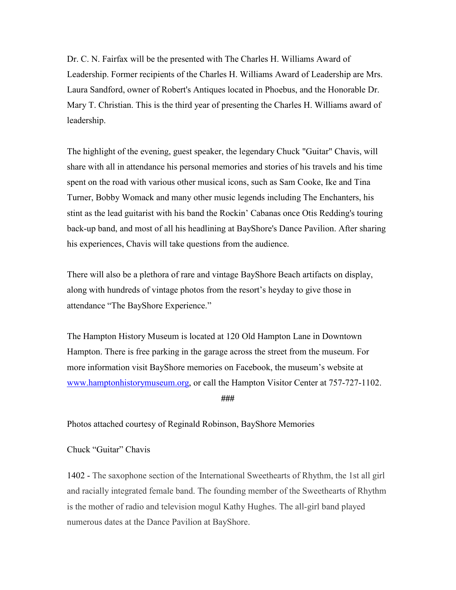Dr. C. N. Fairfax will be the presented with The Charles H. Williams Award of Leadership. Former recipients of the Charles H. Williams Award of Leadership are Mrs. Laura Sandford, owner of Robert's Antiques located in Phoebus, and the Honorable Dr. Mary T. Christian. This is the third year of presenting the Charles H. Williams award of leadership.

The highlight of the evening, guest speaker, the legendary Chuck "Guitar" Chavis, will share with all in attendance his personal memories and stories of his travels and his time spent on the road with various other musical icons, such as Sam Cooke, Ike and Tina Turner, Bobby Womack and many other music legends including The Enchanters, his stint as the lead guitarist with his band the Rockin' Cabanas once Otis Redding's touring back-up band, and most of all his headlining at BayShore's Dance Pavilion. After sharing his experiences, Chavis will take questions from the audience.

There will also be a plethora of rare and vintage BayShore Beach artifacts on display, along with hundreds of vintage photos from the resort's heyday to give those in attendance "The BayShore Experience."

The Hampton History Museum is located at 120 Old Hampton Lane in Downtown Hampton. There is free parking in the garage across the street from the museum. For more information visit BayShore memories on Facebook, the museum's website at [www.hamptonhistorymuseum.org,](http://www.hamptonhistorymuseum.org/) or call the Hampton Visitor Center at 757-727-1102.

**###**

Photos attached courtesy of Reginald Robinson, BayShore Memories

## Chuck "Guitar" Chavis

1402 - The saxophone section of the International Sweethearts of Rhythm, the 1st all girl and racially integrated female band. The founding member of the Sweethearts of Rhythm is the mother of radio and television mogul Kathy Hughes. The all-girl band played numerous dates at the Dance Pavilion at BayShore.